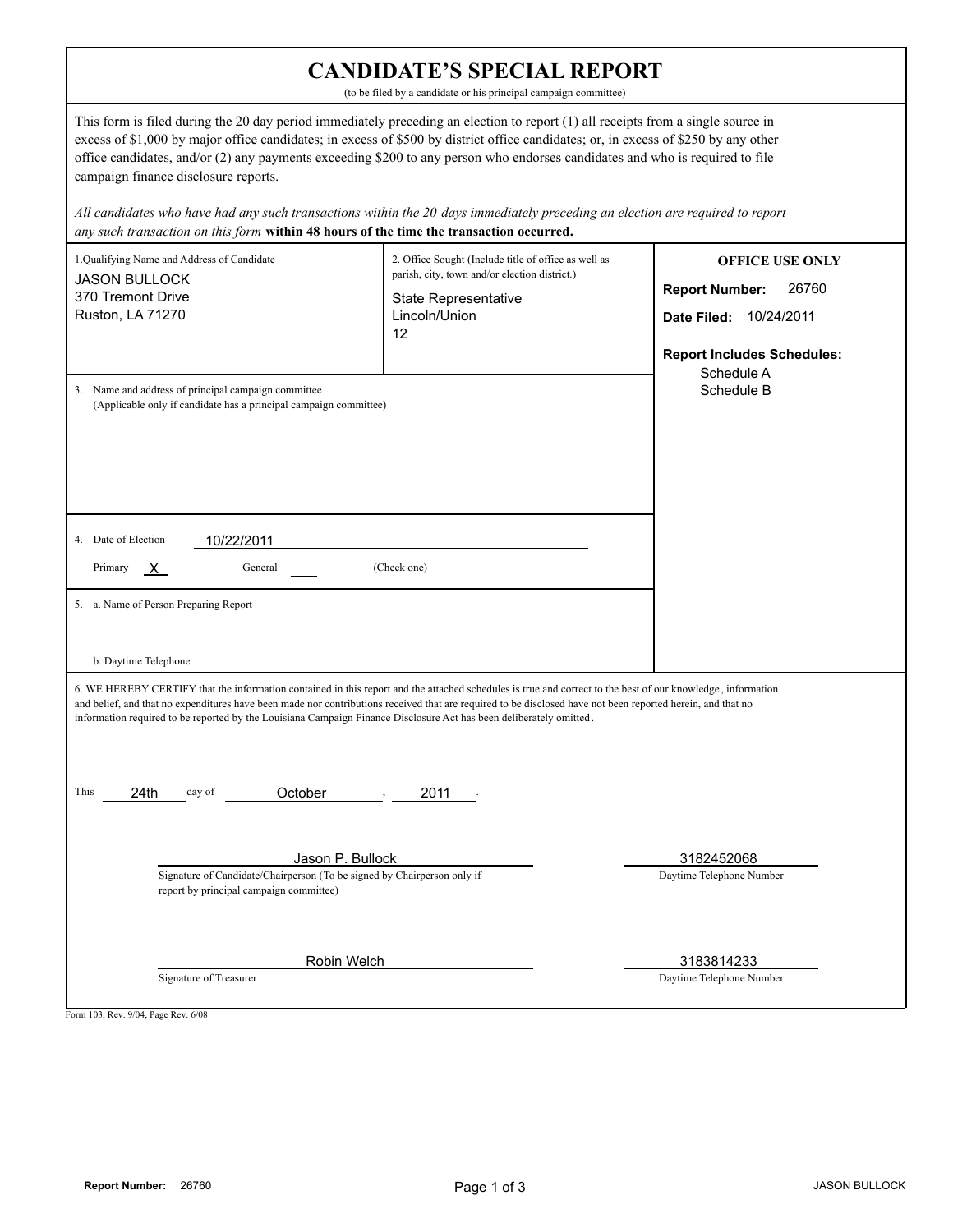| <b>CANDIDATE'S SPECIAL REPORT</b><br>(to be filed by a candidate or his principal campaign committee)                                                                                                                                                                                                                                                                                                                                                                                                                                                                                                                                                                       |                                                                                                                                                             |                                                                                                                                       |  |  |
|-----------------------------------------------------------------------------------------------------------------------------------------------------------------------------------------------------------------------------------------------------------------------------------------------------------------------------------------------------------------------------------------------------------------------------------------------------------------------------------------------------------------------------------------------------------------------------------------------------------------------------------------------------------------------------|-------------------------------------------------------------------------------------------------------------------------------------------------------------|---------------------------------------------------------------------------------------------------------------------------------------|--|--|
| This form is filed during the 20 day period immediately preceding an election to report (1) all receipts from a single source in<br>excess of \$1,000 by major office candidates; in excess of \$500 by district office candidates; or, in excess of \$250 by any other<br>office candidates, and/or (2) any payments exceeding \$200 to any person who endorses candidates and who is required to file<br>campaign finance disclosure reports.<br>All candidates who have had any such transactions within the 20 days immediately preceding an election are required to report<br>any such transaction on this form within 48 hours of the time the transaction occurred. |                                                                                                                                                             |                                                                                                                                       |  |  |
| 1.Qualifying Name and Address of Candidate<br><b>JASON BULLOCK</b><br>370 Tremont Drive<br>Ruston, LA 71270                                                                                                                                                                                                                                                                                                                                                                                                                                                                                                                                                                 | 2. Office Sought (Include title of office as well as<br>parish, city, town and/or election district.)<br><b>State Representative</b><br>Lincoln/Union<br>12 | <b>OFFICE USE ONLY</b><br><b>Report Number:</b><br>26760<br>Date Filed: 10/24/2011<br><b>Report Includes Schedules:</b><br>Schedule A |  |  |
| 3. Name and address of principal campaign committee<br>(Applicable only if candidate has a principal campaign committee)<br>4. Date of Election<br>10/22/2011<br>(Check one)<br>Primary<br>General<br>X.<br>5. a. Name of Person Preparing Report<br>b. Daytime Telephone                                                                                                                                                                                                                                                                                                                                                                                                   |                                                                                                                                                             | Schedule B                                                                                                                            |  |  |
| 6. WE HEREBY CERTIFY that the information contained in this report and the attached schedules is true and correct to the best of our knowledge, information<br>and belief, and that no expenditures have been made nor contributions received that are required to be disclosed have not been reported herein, and that no<br>information required to be reported by the Louisiana Campaign Finance Disclosure Act has been deliberately omitted.<br>This<br>day of<br>October<br>24th<br>2011                                                                                                                                                                              |                                                                                                                                                             |                                                                                                                                       |  |  |
| Jason P. Bullock<br>Signature of Candidate/Chairperson (To be signed by Chairperson only if<br>report by principal campaign committee)                                                                                                                                                                                                                                                                                                                                                                                                                                                                                                                                      |                                                                                                                                                             | 3182452068<br>Daytime Telephone Number                                                                                                |  |  |
| Robin Welch<br>Signature of Treasurer<br>Form 103, Rev. 9/04, Page Rev. 6/08                                                                                                                                                                                                                                                                                                                                                                                                                                                                                                                                                                                                |                                                                                                                                                             | 3183814233<br>Daytime Telephone Number                                                                                                |  |  |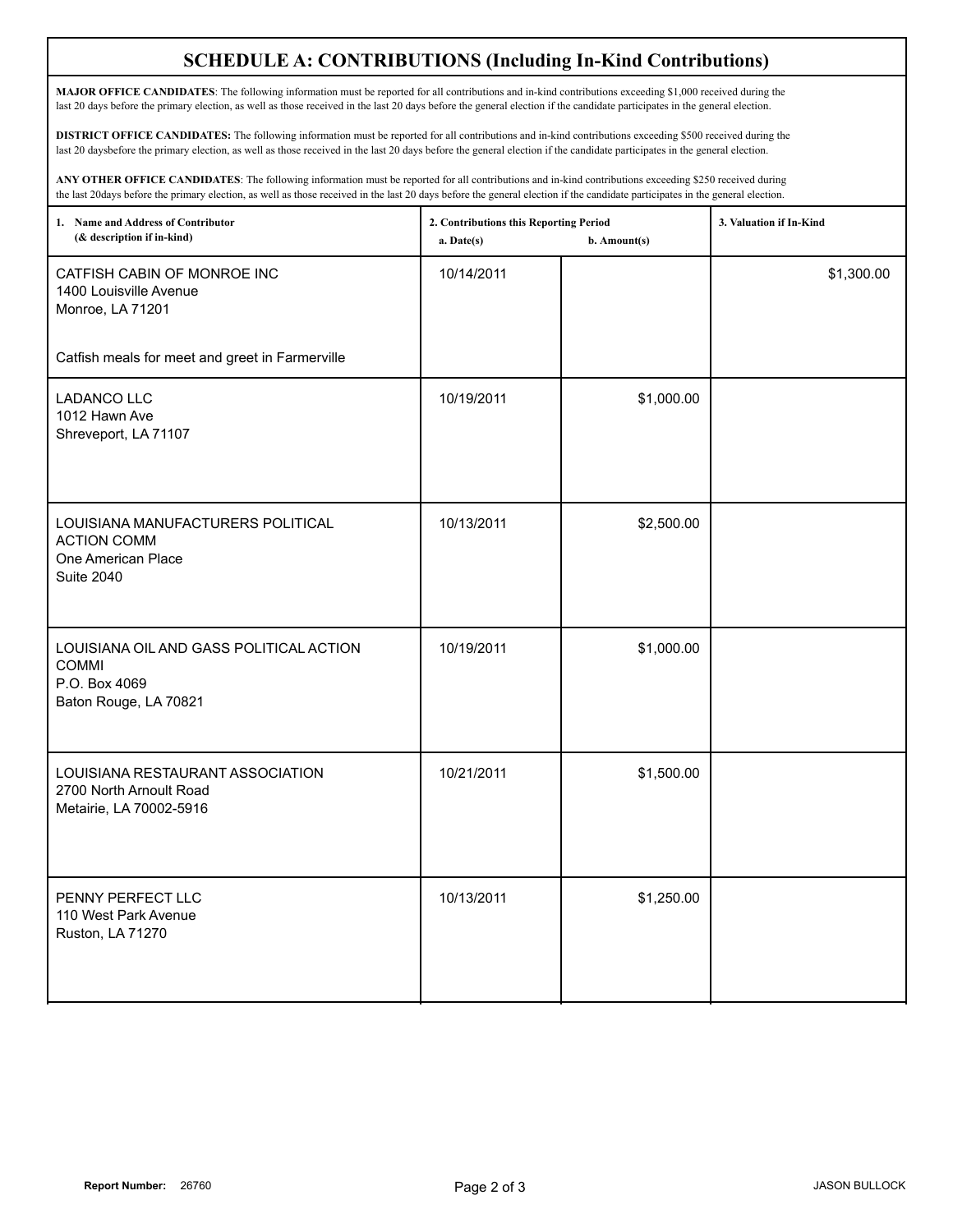## **SCHEDULE A: CONTRIBUTIONS (Including In-Kind Contributions)**

**MAJOR OFFICE CANDIDATES**: The following information must be reported for all contributions and in-kind contributions exceeding \$1,000 received during the last 20 days before the primary election, as well as those received in the last 20 days before the general election if the candidate participates in the general election.

**DISTRICT OFFICE CANDIDATES:** The following information must be reported for all contributions and in-kind contributions exceeding \$500 received during the last 20 daysbefore the primary election, as well as those received in the last 20 days before the general election if the candidate participates in the general election.

**ANY OTHER OFFICE CANDIDATES**: The following information must be reported for all contributions and in-kind contributions exceeding \$250 received during the last 20days before the primary election, as well as those received in the last 20 days before the general election if the candidate participates in the general election.

| 1. Name and Address of Contributor<br>(& description if in-kind)                                   | 2. Contributions this Reporting Period<br>a. Date(s) | b. Amount(s) | 3. Valuation if In-Kind |
|----------------------------------------------------------------------------------------------------|------------------------------------------------------|--------------|-------------------------|
| CATFISH CABIN OF MONROE INC<br>1400 Louisville Avenue<br>Monroe, LA 71201                          | 10/14/2011                                           |              | \$1,300.00              |
| Catfish meals for meet and greet in Farmerville                                                    |                                                      |              |                         |
| <b>LADANCO LLC</b><br>1012 Hawn Ave<br>Shreveport, LA 71107                                        | 10/19/2011                                           | \$1,000.00   |                         |
| LOUISIANA MANUFACTURERS POLITICAL<br><b>ACTION COMM</b><br>One American Place<br><b>Suite 2040</b> | 10/13/2011                                           | \$2,500.00   |                         |
| LOUISIANA OIL AND GASS POLITICAL ACTION<br><b>COMMI</b><br>P.O. Box 4069<br>Baton Rouge, LA 70821  | 10/19/2011                                           | \$1,000.00   |                         |
| LOUISIANA RESTAURANT ASSOCIATION<br>2700 North Arnoult Road<br>Metairie, LA 70002-5916             | 10/21/2011                                           | \$1,500.00   |                         |
| PENNY PERFECT LLC<br>110 West Park Avenue<br>Ruston, LA 71270                                      | 10/13/2011                                           | \$1,250.00   |                         |